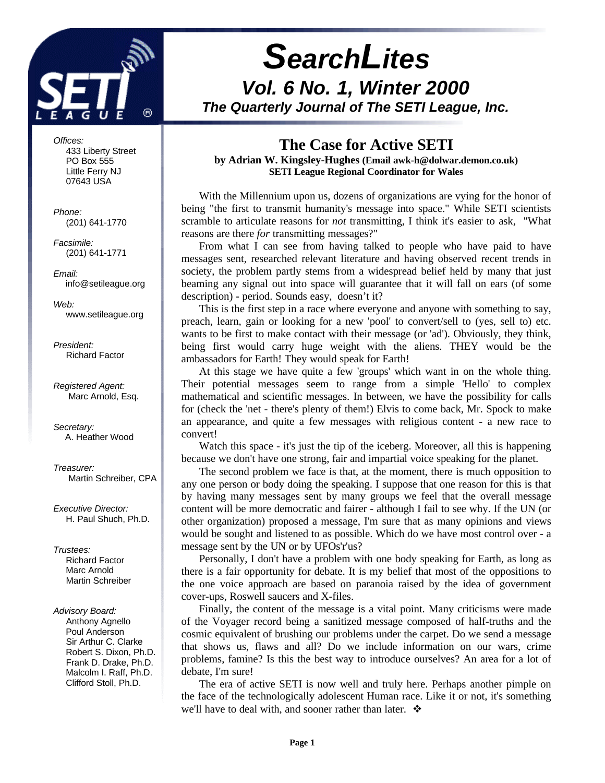

*Offices:* 433 Liberty Street PO Box 555 Little Ferry NJ 07643 USA

*Phone:* (201) 641-1770

*Facsimile:* (201) 641-1771

*Email:* info@setileague.org

*Web:* www.setileague.org

*President:* Richard Factor

*Registered Agent:* Marc Arnold, Esq.

*Secretary:* A. Heather Wood

*Treasurer:* Martin Schreiber, CPA

*Executive Director:* H. Paul Shuch, Ph.D.

*Trustees:* **Richard Factor**  Marc Arnold Martin Schreiber

#### *Advisory Board:*

 Anthony Agnello Poul Anderson Sir Arthur C. Clarke Robert S. Dixon, Ph.D. Frank D. Drake, Ph.D. Malcolm I. Raff, Ph.D. Clifford Stoll, Ph.D.

# *SearchLites*

*Vol. 6 No. 1, Winter 2000 The Quarterly Journal of The SETI League, Inc.*

# **The Case for Active SETI**

**by Adrian W. Kingsley-Hughes (Email awk-h@dolwar.demon.co.uk) SETI League Regional Coordinator for Wales**

With the Millennium upon us, dozens of organizations are vying for the honor of being "the first to transmit humanity's message into space." While SETI scientists scramble to articulate reasons for *not* transmitting, I think it's easier to ask, "What reasons are there *for* transmitting messages?"

From what I can see from having talked to people who have paid to have messages sent, researched relevant literature and having observed recent trends in society, the problem partly stems from a widespread belief held by many that just beaming any signal out into space will guarantee that it will fall on ears (of some description) - period. Sounds easy, doesn't it?

This is the first step in a race where everyone and anyone with something to say, preach, learn, gain or looking for a new 'pool' to convert/sell to (yes, sell to) etc. wants to be first to make contact with their message (or 'ad'). Obviously, they think, being first would carry huge weight with the aliens. THEY would be the ambassadors for Earth! They would speak for Earth!

At this stage we have quite a few 'groups' which want in on the whole thing. Their potential messages seem to range from a simple 'Hello' to complex mathematical and scientific messages. In between, we have the possibility for calls for (check the 'net - there's plenty of them!) Elvis to come back, Mr. Spock to make an appearance, and quite a few messages with religious content - a new race to convert!

Watch this space - it's just the tip of the iceberg. Moreover, all this is happening because we don't have one strong, fair and impartial voice speaking for the planet.

The second problem we face is that, at the moment, there is much opposition to any one person or body doing the speaking. I suppose that one reason for this is that by having many messages sent by many groups we feel that the overall message content will be more democratic and fairer - although I fail to see why. If the UN (or other organization) proposed a message, I'm sure that as many opinions and views would be sought and listened to as possible. Which do we have most control over - a message sent by the UN or by UFOs'r'us?

Personally, I don't have a problem with one body speaking for Earth, as long as there is a fair opportunity for debate. It is my belief that most of the oppositions to the one voice approach are based on paranoia raised by the idea of government cover-ups, Roswell saucers and X-files.

Finally, the content of the message is a vital point. Many criticisms were made of the Voyager record being a sanitized message composed of half-truths and the cosmic equivalent of brushing our problems under the carpet. Do we send a message that shows us, flaws and all? Do we include information on our wars, crime problems, famine? Is this the best way to introduce ourselves? An area for a lot of debate, I'm sure!

The era of active SETI is now well and truly here. Perhaps another pimple on the face of the technologically adolescent Human race. Like it or not, it's something we'll have to deal with, and sooner rather than later.  $\mathbf{\hat{*}}$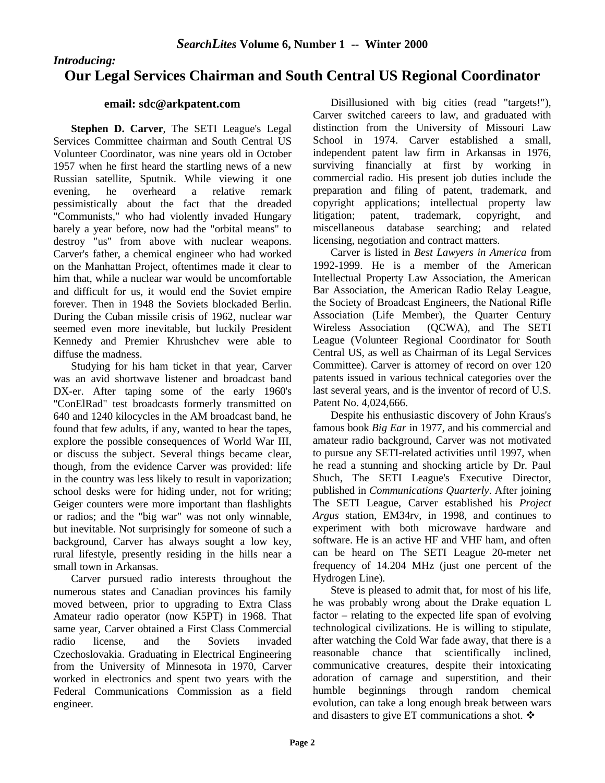#### *Introducing:*

# **Our Legal Services Chairman and South Central US Regional Coordinator**

#### **email: sdc@arkpatent.com**

**Stephen D. Carver**, The SETI League's Legal Services Committee chairman and South Central US Volunteer Coordinator, was nine years old in October 1957 when he first heard the startling news of a new Russian satellite, Sputnik. While viewing it one evening, he overheard a relative remark pessimistically about the fact that the dreaded "Communists," who had violently invaded Hungary barely a year before, now had the "orbital means" to destroy "us" from above with nuclear weapons. Carver's father, a chemical engineer who had worked on the Manhattan Project, oftentimes made it clear to him that, while a nuclear war would be uncomfortable and difficult for us, it would end the Soviet empire forever. Then in 1948 the Soviets blockaded Berlin. During the Cuban missile crisis of 1962, nuclear war seemed even more inevitable, but luckily President Kennedy and Premier Khrushchev were able to diffuse the madness.

Studying for his ham ticket in that year, Carver was an avid shortwave listener and broadcast band DX-er. After taping some of the early 1960's "ConElRad" test broadcasts formerly transmitted on 640 and 1240 kilocycles in the AM broadcast band, he found that few adults, if any, wanted to hear the tapes, explore the possible consequences of World War III, or discuss the subject. Several things became clear, though, from the evidence Carver was provided: life in the country was less likely to result in vaporization; school desks were for hiding under, not for writing; Geiger counters were more important than flashlights or radios; and the "big war" was not only winnable, but inevitable. Not surprisingly for someone of such a background, Carver has always sought a low key, rural lifestyle, presently residing in the hills near a small town in Arkansas.

Carver pursued radio interests throughout the numerous states and Canadian provinces his family moved between, prior to upgrading to Extra Class Amateur radio operator (now K5PT) in 1968. That same year, Carver obtained a First Class Commercial radio license, and the Soviets invaded Czechoslovakia. Graduating in Electrical Engineering from the University of Minnesota in 1970, Carver worked in electronics and spent two years with the Federal Communications Commission as a field engineer.

Disillusioned with big cities (read "targets!"), Carver switched careers to law, and graduated with distinction from the University of Missouri Law School in 1974. Carver established a small, independent patent law firm in Arkansas in 1976, surviving financially at first by working in commercial radio. His present job duties include the preparation and filing of patent, trademark, and copyright applications; intellectual property law litigation; patent, trademark, copyright, and miscellaneous database searching; and related licensing, negotiation and contract matters.

Carver is listed in *Best Lawyers in America* from 1992-1999. He is a member of the American Intellectual Property Law Association, the American Bar Association, the American Radio Relay League, the Society of Broadcast Engineers, the National Rifle Association (Life Member), the Quarter Century Wireless Association (QCWA), and The SETI League (Volunteer Regional Coordinator for South Central US, as well as Chairman of its Legal Services Committee). Carver is attorney of record on over 120 patents issued in various technical categories over the last several years, and is the inventor of record of U.S. Patent No. 4,024,666.

Despite his enthusiastic discovery of John Kraus's famous book *Big Ear* in 1977, and his commercial and amateur radio background, Carver was not motivated to pursue any SETI-related activities until 1997, when he read a stunning and shocking article by Dr. Paul Shuch, The SETI League's Executive Director, published in *Communications Quarterly*. After joining The SETI League, Carver established his *Project Argus* station, EM34rv, in 1998, and continues to experiment with both microwave hardware and software. He is an active HF and VHF ham, and often can be heard on The SETI League 20-meter net frequency of 14.204 MHz (just one percent of the Hydrogen Line).

Steve is pleased to admit that, for most of his life, he was probably wrong about the Drake equation L factor – relating to the expected life span of evolving technological civilizations. He is willing to stipulate, after watching the Cold War fade away, that there is a reasonable chance that scientifically inclined, communicative creatures, despite their intoxicating adoration of carnage and superstition, and their humble beginnings through random chemical evolution, can take a long enough break between wars and disasters to give ET communications a shot.  $\mathbf{\hat{*}}$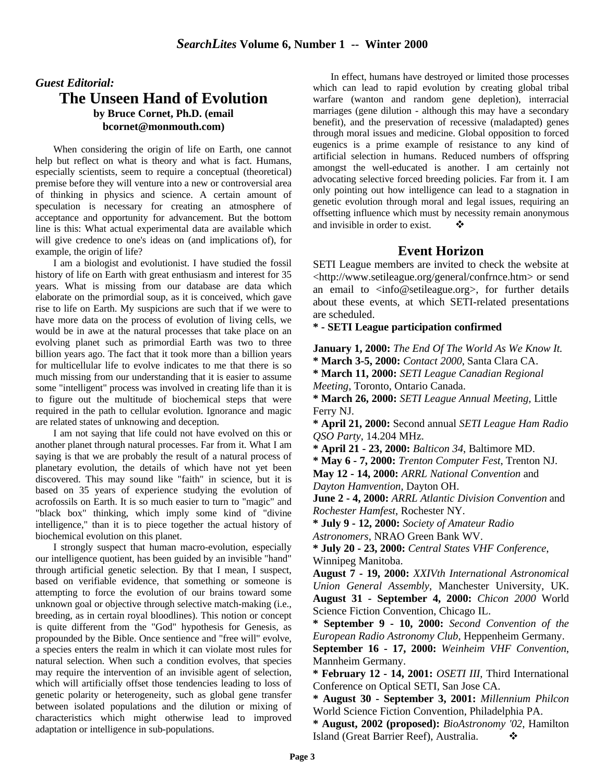# *Guest Editorial:* **The Unseen Hand of Evolution by Bruce Cornet, Ph.D. (email bcornet@monmouth.com)**

When considering the origin of life on Earth, one cannot help but reflect on what is theory and what is fact. Humans, especially scientists, seem to require a conceptual (theoretical) premise before they will venture into a new or controversial area of thinking in physics and science. A certain amount of speculation is necessary for creating an atmosphere of acceptance and opportunity for advancement. But the bottom line is this: What actual experimental data are available which will give credence to one's ideas on (and implications of), for example, the origin of life?

I am a biologist and evolutionist. I have studied the fossil history of life on Earth with great enthusiasm and interest for 35 years. What is missing from our database are data which elaborate on the primordial soup, as it is conceived, which gave rise to life on Earth. My suspicions are such that if we were to have more data on the process of evolution of living cells, we would be in awe at the natural processes that take place on an evolving planet such as primordial Earth was two to three billion years ago. The fact that it took more than a billion years for multicellular life to evolve indicates to me that there is so much missing from our understanding that it is easier to assume some "intelligent" process was involved in creating life than it is to figure out the multitude of biochemical steps that were required in the path to cellular evolution. Ignorance and magic are related states of unknowing and deception.

I am not saying that life could not have evolved on this or another planet through natural processes. Far from it. What I am saying is that we are probably the result of a natural process of planetary evolution, the details of which have not yet been discovered. This may sound like "faith" in science, but it is based on 35 years of experience studying the evolution of acrofossils on Earth. It is so much easier to turn to "magic" and "black box" thinking, which imply some kind of "divine intelligence," than it is to piece together the actual history of biochemical evolution on this planet.

I strongly suspect that human macro-evolution, especially our intelligence quotient, has been guided by an invisible "hand" through artificial genetic selection. By that I mean, I suspect, based on verifiable evidence, that something or someone is attempting to force the evolution of our brains toward some unknown goal or objective through selective match-making (i.e., breeding, as in certain royal bloodlines). This notion or concept is quite different from the "God" hypothesis for Genesis, as propounded by the Bible. Once sentience and "free will" evolve, a species enters the realm in which it can violate most rules for natural selection. When such a condition evolves, that species may require the intervention of an invisible agent of selection, which will artificially offset those tendencies leading to loss of genetic polarity or heterogeneity, such as global gene transfer between isolated populations and the dilution or mixing of characteristics which might otherwise lead to improved adaptation or intelligence in sub-populations.

In effect, humans have destroyed or limited those processes which can lead to rapid evolution by creating global tribal warfare (wanton and random gene depletion), interracial marriages (gene dilution - although this may have a secondary benefit), and the preservation of recessive (maladapted) genes through moral issues and medicine. Global opposition to forced eugenics is a prime example of resistance to any kind of artificial selection in humans. Reduced numbers of offspring amongst the well-educated is another. I am certainly not advocating selective forced breeding policies. Far from it. I am only pointing out how intelligence can lead to a stagnation in genetic evolution through moral and legal issues, requiring an offsetting influence which must by necessity remain anonymous and invisible in order to exist.  $\bullet$ 

### **Event Horizon**

SETI League members are invited to check the website at <http://www.setileague.org/general/confrnce.htm> or send an email to  $\langle \text{info@setileague.org} \rangle$ , for further details about these events, at which SETI-related presentations are scheduled.

#### **\* - SETI League participation confirmed**

**January 1, 2000:** *The End Of The World As We Know It.* **\* March 3-5, 2000:** *Contact 2000*, Santa Clara CA. **\* March 11, 2000:** *SETI League Canadian Regional Meeting,* Toronto, Ontario Canada. **\* March 26, 2000:** *SETI League Annual Meeting,* Little Ferry NJ.

**\* April 21, 2000:** Second annual *SETI League Ham Radio QSO Party*, 14.204 MHz.

**\* April 21 - 23, 2000:** *Balticon 34*, Baltimore MD.

**\* May 6 - 7, 2000:** *Trenton Computer Fest*, Trenton NJ. **May 12 - 14, 2000:** *ARRL National Convention* and

*Dayton Hamvention*, Dayton OH.

**June 2 - 4, 2000:** *ARRL Atlantic Division Convention* and *Rochester Hamfest*, Rochester NY.

**\* July 9 - 12, 2000:** *Society of Amateur Radio*

*Astronomers*, NRAO Green Bank WV.

**\* July 20 - 23, 2000:** *Central States VHF Conference*, Winnipeg Manitoba.

**August 7 - 19, 2000:** *XXIVth International Astronomical Union General Assembly*, Manchester University, UK. **August 31 - September 4, 2000:** *Chicon 2000* World Science Fiction Convention, Chicago IL.

**\* September 9 - 10, 2000:** *Second Convention of the European Radio Astronomy Club*, Heppenheim Germany.

**September 16 - 17, 2000:** *Weinheim VHF Convention*, Mannheim Germany.

**\* February 12 - 14, 2001:** *OSETI III*, Third International Conference on Optical SETI, San Jose CA.

**\* August 30 - September 3, 2001:** *Millennium Philcon* World Science Fiction Convention, Philadelphia PA.

**\* August, 2002 (proposed):** *BioAstronomy '02*, Hamilton Island (Great Barrier Reef), Australia. v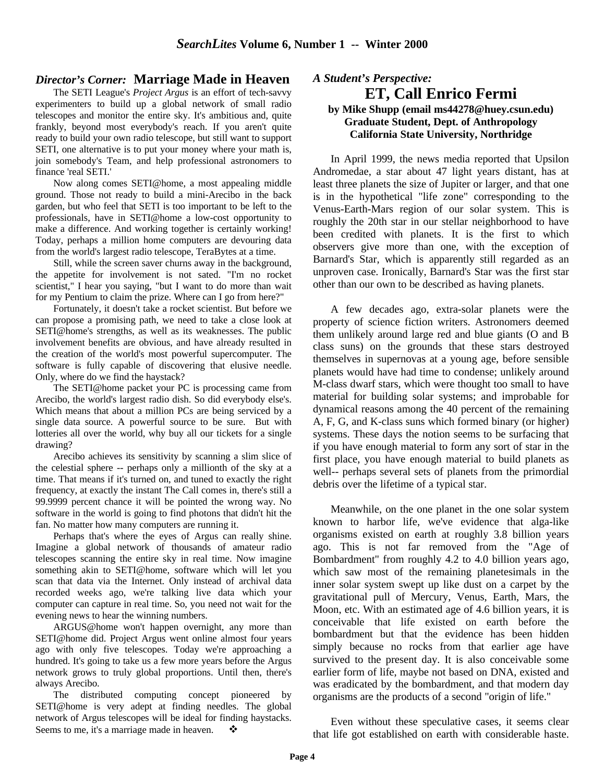#### *Director's Corner:* **Marriage Made in Heaven**

The SETI League's *Project Argus* is an effort of tech-savvy experimenters to build up a global network of small radio telescopes and monitor the entire sky. It's ambitious and, quite frankly, beyond most everybody's reach. If you aren't quite ready to build your own radio telescope, but still want to support SETI, one alternative is to put your money where your math is, join somebody's Team, and help professional astronomers to finance 'real SETI.'

Now along comes SETI@home, a most appealing middle ground. Those not ready to build a mini-Arecibo in the back garden, but who feel that SETI is too important to be left to the professionals, have in SETI@home a low-cost opportunity to make a difference. And working together is certainly working! Today, perhaps a million home computers are devouring data from the world's largest radio telescope, TeraBytes at a time.

Still, while the screen saver churns away in the background, the appetite for involvement is not sated. "I'm no rocket scientist," I hear you saying, "but I want to do more than wait for my Pentium to claim the prize. Where can I go from here?"

Fortunately, it doesn't take a rocket scientist. But before we can propose a promising path, we need to take a close look at SETI@home's strengths, as well as its weaknesses. The public involvement benefits are obvious, and have already resulted in the creation of the world's most powerful supercomputer. The software is fully capable of discovering that elusive needle. Only, where do we find the haystack?

The SETI@home packet your PC is processing came from Arecibo, the world's largest radio dish. So did everybody else's. Which means that about a million PCs are being serviced by a single data source. A powerful source to be sure. But with lotteries all over the world, why buy all our tickets for a single drawing?

Arecibo achieves its sensitivity by scanning a slim slice of the celestial sphere -- perhaps only a millionth of the sky at a time. That means if it's turned on, and tuned to exactly the right frequency, at exactly the instant The Call comes in, there's still a 99.9999 percent chance it will be pointed the wrong way. No software in the world is going to find photons that didn't hit the fan. No matter how many computers are running it.

Perhaps that's where the eyes of Argus can really shine. Imagine a global network of thousands of amateur radio telescopes scanning the entire sky in real time. Now imagine something akin to SETI@home, software which will let you scan that data via the Internet. Only instead of archival data recorded weeks ago, we're talking live data which your computer can capture in real time. So, you need not wait for the evening news to hear the winning numbers.

ARGUS@home won't happen overnight, any more than SETI@home did. Project Argus went online almost four years ago with only five telescopes. Today we're approaching a hundred. It's going to take us a few more years before the Argus network grows to truly global proportions. Until then, there's always Arecibo.

The distributed computing concept pioneered by SETI@home is very adept at finding needles. The global network of Argus telescopes will be ideal for finding haystacks. Seems to me, it's a marriage made in heaven.  $\bullet$ 

#### *A Student's Perspective:* **ET, Call Enrico Fermi by Mike Shupp (email ms44278@huey.csun.edu) Graduate Student, Dept. of Anthropology California State University, Northridge**

In April 1999, the news media reported that Upsilon Andromedae, a star about 47 light years distant, has at least three planets the size of Jupiter or larger, and that one is in the hypothetical "life zone" corresponding to the Venus-Earth-Mars region of our solar system. This is roughly the 20th star in our stellar neighborhood to have been credited with planets. It is the first to which observers give more than one, with the exception of Barnard's Star, which is apparently still regarded as an unproven case. Ironically, Barnard's Star was the first star other than our own to be described as having planets.

A few decades ago, extra-solar planets were the property of science fiction writers. Astronomers deemed them unlikely around large red and blue giants (O and B class suns) on the grounds that these stars destroyed themselves in supernovas at a young age, before sensible planets would have had time to condense; unlikely around M-class dwarf stars, which were thought too small to have material for building solar systems; and improbable for dynamical reasons among the 40 percent of the remaining A, F, G, and K-class suns which formed binary (or higher) systems. These days the notion seems to be surfacing that if you have enough material to form any sort of star in the first place, you have enough material to build planets as well-- perhaps several sets of planets from the primordial debris over the lifetime of a typical star.

Meanwhile, on the one planet in the one solar system known to harbor life, we've evidence that alga-like organisms existed on earth at roughly 3.8 billion years ago. This is not far removed from the "Age of Bombardment" from roughly 4.2 to 4.0 billion years ago, which saw most of the remaining planetesimals in the inner solar system swept up like dust on a carpet by the gravitational pull of Mercury, Venus, Earth, Mars, the Moon, etc. With an estimated age of 4.6 billion years, it is conceivable that life existed on earth before the bombardment but that the evidence has been hidden simply because no rocks from that earlier age have survived to the present day. It is also conceivable some earlier form of life, maybe not based on DNA, existed and was eradicated by the bombardment, and that modern day organisms are the products of a second "origin of life."

Even without these speculative cases, it seems clear that life got established on earth with considerable haste.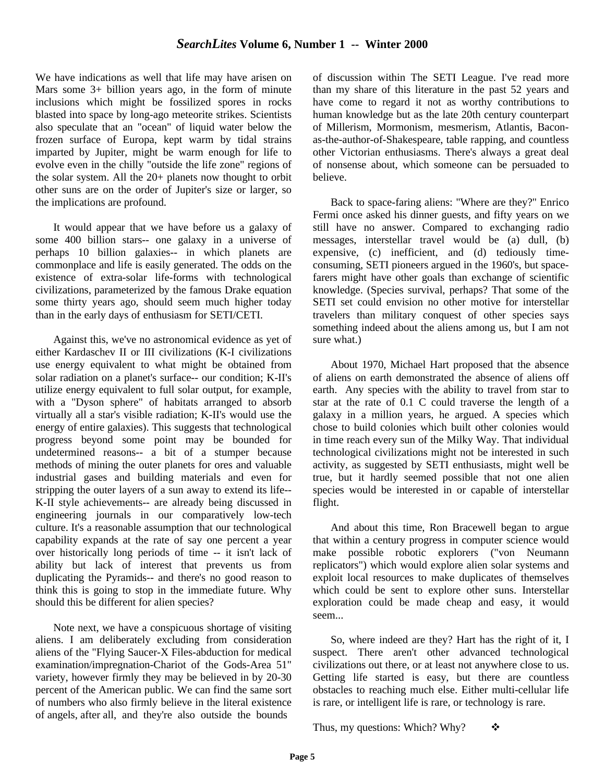We have indications as well that life may have arisen on Mars some 3+ billion years ago, in the form of minute inclusions which might be fossilized spores in rocks blasted into space by long-ago meteorite strikes. Scientists also speculate that an "ocean" of liquid water below the frozen surface of Europa, kept warm by tidal strains imparted by Jupiter, might be warm enough for life to evolve even in the chilly "outside the life zone" regions of the solar system. All the 20+ planets now thought to orbit other suns are on the order of Jupiter's size or larger, so the implications are profound.

It would appear that we have before us a galaxy of some 400 billion stars-- one galaxy in a universe of perhaps 10 billion galaxies-- in which planets are commonplace and life is easily generated. The odds on the existence of extra-solar life-forms with technological civilizations, parameterized by the famous Drake equation some thirty years ago, should seem much higher today than in the early days of enthusiasm for SETI/CETI.

Against this, we've no astronomical evidence as yet of either Kardaschev II or III civilizations (K-I civilizations use energy equivalent to what might be obtained from solar radiation on a planet's surface-- our condition; K-II's utilize energy equivalent to full solar output, for example, with a "Dyson sphere" of habitats arranged to absorb virtually all a star's visible radiation; K-II's would use the energy of entire galaxies). This suggests that technological progress beyond some point may be bounded for undetermined reasons-- a bit of a stumper because methods of mining the outer planets for ores and valuable industrial gases and building materials and even for stripping the outer layers of a sun away to extend its life-- K-II style achievements-- are already being discussed in engineering journals in our comparatively low-tech culture. It's a reasonable assumption that our technological capability expands at the rate of say one percent a year over historically long periods of time -- it isn't lack of ability but lack of interest that prevents us from duplicating the Pyramids-- and there's no good reason to think this is going to stop in the immediate future. Why should this be different for alien species?

Note next, we have a conspicuous shortage of visiting aliens. I am deliberately excluding from consideration aliens of the "Flying Saucer-X Files-abduction for medical examination/impregnation-Chariot of the Gods-Area 51" variety, however firmly they may be believed in by 20-30 percent of the American public. We can find the same sort of numbers who also firmly believe in the literal existence of angels, after all, and they're also outside the bounds

of discussion within The SETI League. I've read more than my share of this literature in the past 52 years and have come to regard it not as worthy contributions to human knowledge but as the late 20th century counterpart of Millerism, Mormonism, mesmerism, Atlantis, Baconas-the-author-of-Shakespeare, table rapping, and countless other Victorian enthusiasms. There's always a great deal of nonsense about, which someone can be persuaded to believe.

Back to space-faring aliens: "Where are they?" Enrico Fermi once asked his dinner guests, and fifty years on we still have no answer. Compared to exchanging radio messages, interstellar travel would be (a) dull, (b) expensive, (c) inefficient, and (d) tediously timeconsuming, SETI pioneers argued in the 1960's, but spacefarers might have other goals than exchange of scientific knowledge. (Species survival, perhaps? That some of the SETI set could envision no other motive for interstellar travelers than military conquest of other species says something indeed about the aliens among us, but I am not sure what.)

About 1970, Michael Hart proposed that the absence of aliens on earth demonstrated the absence of aliens off earth. Any species with the ability to travel from star to star at the rate of 0.1 C could traverse the length of a galaxy in a million years, he argued. A species which chose to build colonies which built other colonies would in time reach every sun of the Milky Way. That individual technological civilizations might not be interested in such activity, as suggested by SETI enthusiasts, might well be true, but it hardly seemed possible that not one alien species would be interested in or capable of interstellar flight.

And about this time, Ron Bracewell began to argue that within a century progress in computer science would make possible robotic explorers ("von Neumann replicators") which would explore alien solar systems and exploit local resources to make duplicates of themselves which could be sent to explore other suns. Interstellar exploration could be made cheap and easy, it would seem...

So, where indeed are they? Hart has the right of it, I suspect. There aren't other advanced technological civilizations out there, or at least not anywhere close to us. Getting life started is easy, but there are countless obstacles to reaching much else. Either multi-cellular life is rare, or intelligent life is rare, or technology is rare.

Thus, my questions: Which? Why?  $\bullet\bullet$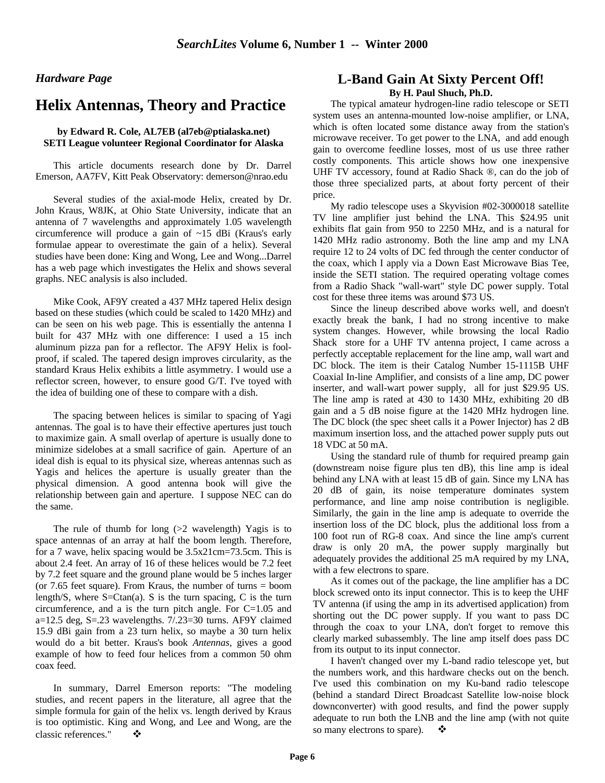#### *Hardware Page*

# **Helix Antennas, Theory and Practice**

#### **by Edward R. Cole, AL7EB (al7eb@ptialaska.net) SETI League volunteer Regional Coordinator for Alaska**

This article documents research done by Dr. Darrel Emerson, AA7FV, Kitt Peak Observatory: demerson@nrao.edu

Several studies of the axial-mode Helix, created by Dr. John Kraus, W8JK, at Ohio State University, indicate that an antenna of 7 wavelengths and approximately 1.05 wavelength circumference will produce a gain of ~15 dBi (Kraus's early formulae appear to overestimate the gain of a helix). Several studies have been done: King and Wong, Lee and Wong...Darrel has a web page which investigates the Helix and shows several graphs. NEC analysis is also included.

Mike Cook, AF9Y created a 437 MHz tapered Helix design based on these studies (which could be scaled to 1420 MHz) and can be seen on his web page. This is essentially the antenna I built for 437 MHz with one difference: I used a 15 inch aluminum pizza pan for a reflector. The AF9Y Helix is foolproof, if scaled. The tapered design improves circularity, as the standard Kraus Helix exhibits a little asymmetry. I would use a reflector screen, however, to ensure good G/T. I've toyed with the idea of building one of these to compare with a dish.

The spacing between helices is similar to spacing of Yagi antennas. The goal is to have their effective apertures just touch to maximize gain. A small overlap of aperture is usually done to minimize sidelobes at a small sacrifice of gain. Aperture of an ideal dish is equal to its physical size, whereas antennas such as Yagis and helices the aperture is usually greater than the physical dimension. A good antenna book will give the relationship between gain and aperture. I suppose NEC can do the same.

The rule of thumb for long  $(>= 2$  wavelength) Yagis is to space antennas of an array at half the boom length. Therefore, for a 7 wave, helix spacing would be 3.5x21cm=73.5cm. This is about 2.4 feet. An array of 16 of these helices would be 7.2 feet by 7.2 feet square and the ground plane would be 5 inches larger (or 7.65 feet square). From Kraus, the number of turns = boom length/S, where  $S = C \tan(a)$ . S is the turn spacing, C is the turn circumference, and a is the turn pitch angle. For C=1.05 and a=12.5 deg, S=.23 wavelengths. 7/.23=30 turns. AF9Y claimed 15.9 dBi gain from a 23 turn helix, so maybe a 30 turn helix would do a bit better. Kraus's book *Antennas*, gives a good example of how to feed four helices from a common 50 ohm coax feed.

In summary, Darrel Emerson reports: "The modeling studies, and recent papers in the literature, all agree that the simple formula for gain of the helix vs. length derived by Kraus is too optimistic. King and Wong, and Lee and Wong, are the classic references."

# **L-Band Gain At Sixty Percent Off!**

**By H. Paul Shuch, Ph.D.**

The typical amateur hydrogen-line radio telescope or SETI system uses an antenna-mounted low-noise amplifier, or LNA, which is often located some distance away from the station's microwave receiver. To get power to the LNA, and add enough gain to overcome feedline losses, most of us use three rather costly components. This article shows how one inexpensive UHF TV accessory, found at Radio Shack ®, can do the job of those three specialized parts, at about forty percent of their price.

My radio telescope uses a Skyvision #02-3000018 satellite TV line amplifier just behind the LNA. This \$24.95 unit exhibits flat gain from 950 to 2250 MHz, and is a natural for 1420 MHz radio astronomy. Both the line amp and my LNA require 12 to 24 volts of DC fed through the center conductor of the coax, which I apply via a Down East Microwave Bias Tee, inside the SETI station. The required operating voltage comes from a Radio Shack "wall-wart" style DC power supply. Total cost for these three items was around \$73 US.

Since the lineup described above works well, and doesn't exactly break the bank, I had no strong incentive to make system changes. However, while browsing the local Radio Shack store for a UHF TV antenna project, I came across a perfectly acceptable replacement for the line amp, wall wart and DC block. The item is their Catalog Number 15-1115B UHF Coaxial In-line Amplifier, and consists of a line amp, DC power inserter, and wall-wart power supply, all for just \$29.95 US. The line amp is rated at 430 to 1430 MHz, exhibiting 20 dB gain and a 5 dB noise figure at the 1420 MHz hydrogen line. The DC block (the spec sheet calls it a Power Injector) has 2 dB maximum insertion loss, and the attached power supply puts out 18 VDC at 50 mA.

Using the standard rule of thumb for required preamp gain (downstream noise figure plus ten dB), this line amp is ideal behind any LNA with at least 15 dB of gain. Since my LNA has 20 dB of gain, its noise temperature dominates system performance, and line amp noise contribution is negligible. Similarly, the gain in the line amp is adequate to override the insertion loss of the DC block, plus the additional loss from a 100 foot run of RG-8 coax. And since the line amp's current draw is only 20 mA, the power supply marginally but adequately provides the additional 25 mA required by my LNA, with a few electrons to spare.

As it comes out of the package, the line amplifier has a DC block screwed onto its input connector. This is to keep the UHF TV antenna (if using the amp in its advertised application) from shorting out the DC power supply. If you want to pass DC through the coax to your LNA, don't forget to remove this clearly marked subassembly. The line amp itself does pass DC from its output to its input connector.

I haven't changed over my L-band radio telescope yet, but the numbers work, and this hardware checks out on the bench. I've used this combination on my Ku-band radio telescope (behind a standard Direct Broadcast Satellite low-noise block downconverter) with good results, and find the power supply adequate to run both the LNB and the line amp (with not quite so many electrons to spare).  $\bullet$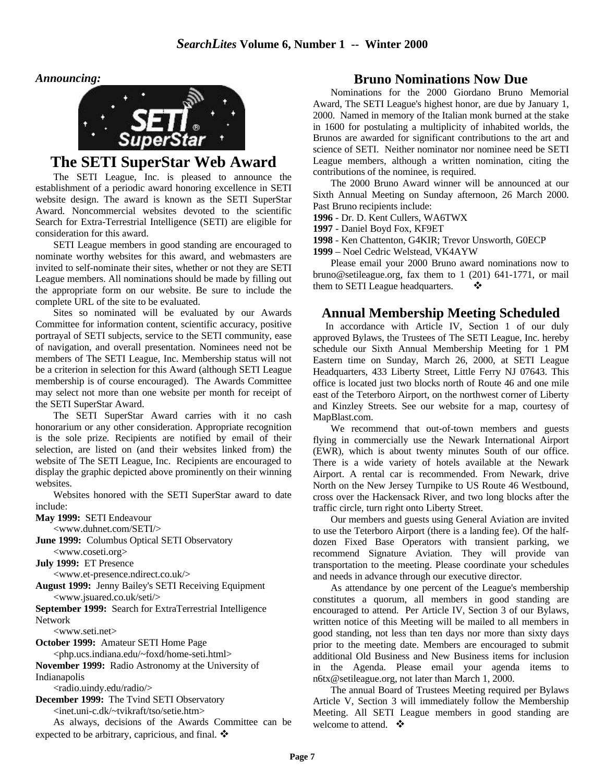*Announcing:*



# **The SETI SuperStar Web Award**

The SETI League, Inc. is pleased to announce the establishment of a periodic award honoring excellence in SETI website design. The award is known as the SETI SuperStar Award. Noncommercial websites devoted to the scientific Search for Extra-Terrestrial Intelligence (SETI) are eligible for consideration for this award.

SETI League members in good standing are encouraged to nominate worthy websites for this award, and webmasters are invited to self-nominate their sites, whether or not they are SETI League members. All nominations should be made by filling out the appropriate form on our website. Be sure to include the complete URL of the site to be evaluated.

Sites so nominated will be evaluated by our Awards Committee for information content, scientific accuracy, positive portrayal of SETI subjects, service to the SETI community, ease of navigation, and overall presentation. Nominees need not be members of The SETI League, Inc. Membership status will not be a criterion in selection for this Award (although SETI League membership is of course encouraged). The Awards Committee may select not more than one website per month for receipt of the SETI SuperStar Award.

The SETI SuperStar Award carries with it no cash honorarium or any other consideration. Appropriate recognition is the sole prize. Recipients are notified by email of their selection, are listed on (and their websites linked from) the website of The SETI League, Inc. Recipients are encouraged to display the graphic depicted above prominently on their winning websites.

Websites honored with the SETI SuperStar award to date include:

**May 1999:** SETI Endeavour

<www.duhnet.com/SETI/>

**June 1999:** Columbus Optical SETI Observatory

<www.coseti.org>

**July 1999:** ET Presence

<www.et-presence.ndirect.co.uk/>

**August 1999:** Jenny Bailey's SETI Receiving Equipment <www.jsuared.co.uk/seti/>

**September 1999:** Search for ExtraTerrestrial Intelligence Network

<www.seti.net>

**October 1999:** Amateur SETI Home Page

<php.ucs.indiana.edu/~foxd/home-seti.html>

**November 1999:** Radio Astronomy at the University of Indianapolis

<radio.uindy.edu/radio/>

**December 1999:** The Tvind SETI Observatory <inet.uni-c.dk/~tvikraft/tso/setie.htm>

As always, decisions of the Awards Committee can be expected to be arbitrary, capricious, and final.  $\mathbf{\hat{*}}$ 

#### **Bruno Nominations Now Due**

Nominations for the 2000 Giordano Bruno Memorial Award, The SETI League's highest honor, are due by January 1, 2000. Named in memory of the Italian monk burned at the stake in 1600 for postulating a multiplicity of inhabited worlds, the Brunos are awarded for significant contributions to the art and science of SETI. Neither nominator nor nominee need be SETI League members, although a written nomination, citing the contributions of the nominee, is required.

The 2000 Bruno Award winner will be announced at our Sixth Annual Meeting on Sunday afternoon, 26 March 2000. Past Bruno recipients include:

**1996** - Dr. D. Kent Cullers, WA6TWX

**1997** - Daniel Boyd Fox, KF9ET

**1998** - Ken Chattenton, G4KIR; Trevor Unsworth, G0ECP

**1999** – Noel Cedric Welstead, VK4AYW

Please email your 2000 Bruno award nominations now to bruno@setileague.org, fax them to 1 (201) 641-1771, or mail them to SETI League headquarters.

#### **Annual Membership Meeting Scheduled**

In accordance with Article IV, Section 1 of our duly approved Bylaws, the Trustees of The SETI League, Inc. hereby schedule our Sixth Annual Membership Meeting for 1 PM Eastern time on Sunday, March 26, 2000, at SETI League Headquarters, 433 Liberty Street, Little Ferry NJ 07643. This office is located just two blocks north of Route 46 and one mile east of the Teterboro Airport, on the northwest corner of Liberty and Kinzley Streets. See our website for a map, courtesy of MapBlast.com.

We recommend that out-of-town members and guests flying in commercially use the Newark International Airport (EWR), which is about twenty minutes South of our office. There is a wide variety of hotels available at the Newark Airport. A rental car is recommended. From Newark, drive North on the New Jersey Turnpike to US Route 46 Westbound, cross over the Hackensack River, and two long blocks after the traffic circle, turn right onto Liberty Street.

Our members and guests using General Aviation are invited to use the Teterboro Airport (there is a landing fee). Of the halfdozen Fixed Base Operators with transient parking, we recommend Signature Aviation. They will provide van transportation to the meeting. Please coordinate your schedules and needs in advance through our executive director.

As attendance by one percent of the League's membership constitutes a quorum, all members in good standing are encouraged to attend. Per Article IV, Section 3 of our Bylaws, written notice of this Meeting will be mailed to all members in good standing, not less than ten days nor more than sixty days prior to the meeting date. Members are encouraged to submit additional Old Business and New Business items for inclusion in the Agenda. Please email your agenda items to n6tx@setileague.org, not later than March 1, 2000.

The annual Board of Trustees Meeting required per Bylaws Article V, Section 3 will immediately follow the Membership Meeting. All SETI League members in good standing are welcome to attend.  $\mathbf{\hat{P}}$